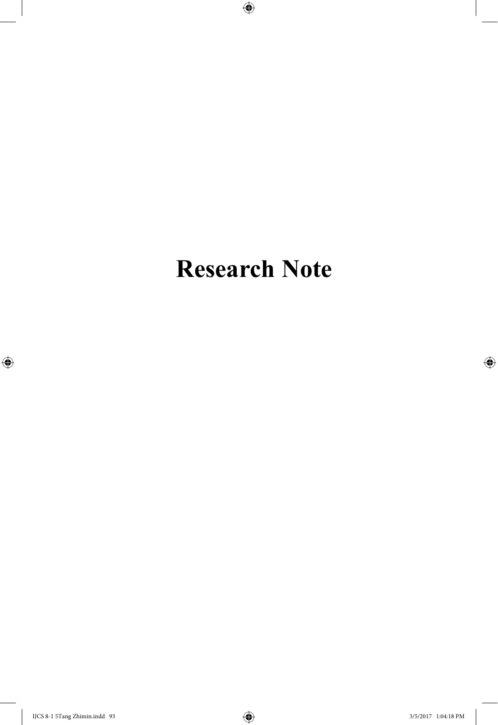# **Research Note**

 $\bigoplus$ 

 $\bigoplus$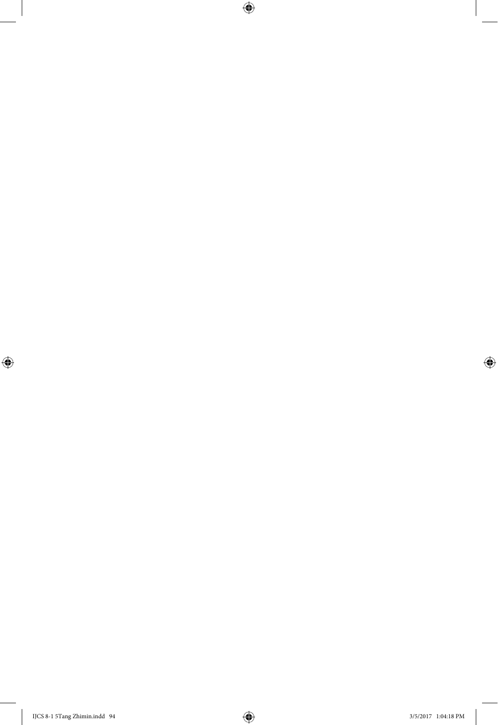

 $\overline{\phantom{a}}$ 

 $\bigoplus$ 

 $\bigoplus$ 

I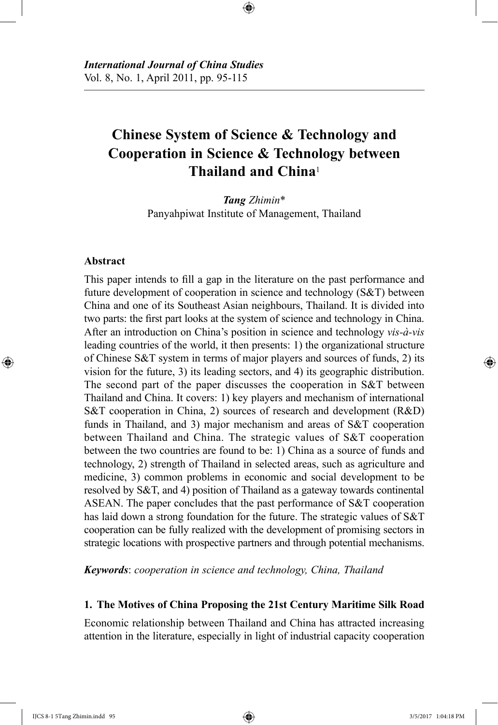# **Chinese System of Science & Technology and Cooperation in Science & Technology between Thailand and China**<sup>1</sup>

⊕

*Tang Zhimin*\* Panyahpiwat Institute of Management, Thailand

#### **Abstract**

⊕

This paper intends to fill a gap in the literature on the past performance and future development of cooperation in science and technology (S&T) between China and one of its Southeast Asian neighbours, Thailand. It is divided into two parts: the first part looks at the system of science and technology in China. After an introduction on China's position in science and technology *vis-à-vis*  leading countries of the world, it then presents: 1) the organizational structure of Chinese S&T system in terms of major players and sources of funds, 2) its vision for the future, 3) its leading sectors, and 4) its geographic distribution. The second part of the paper discusses the cooperation in S&T between Thailand and China. It covers: 1) key players and mechanism of international S&T cooperation in China, 2) sources of research and development (R&D) funds in Thailand, and 3) major mechanism and areas of S&T cooperation between Thailand and China. The strategic values of S&T cooperation between the two countries are found to be: 1) China as a source of funds and technology, 2) strength of Thailand in selected areas, such as agriculture and medicine, 3) common problems in economic and social development to be resolved by S&T, and 4) position of Thailand as a gateway towards continental ASEAN. The paper concludes that the past performance of S&T cooperation has laid down a strong foundation for the future. The strategic values of S&T cooperation can be fully realized with the development of promising sectors in strategic locations with prospective partners and through potential mechanisms.

*Keywords*: *cooperation in science and technology, China, Thailand*

### **1. The Motives of China Proposing the 21st Century Maritime Silk Road**

Economic relationship between Thailand and China has attracted increasing attention in the literature, especially in light of industrial capacity cooperation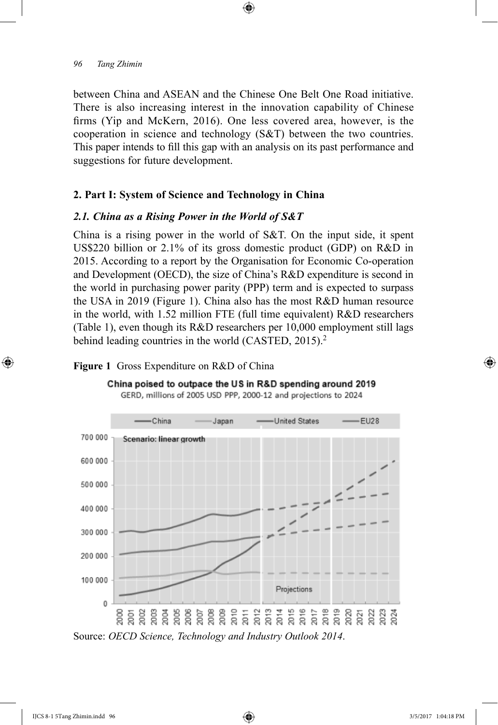between China and ASEAN and the Chinese One Belt One Road initiative. There is also increasing interest in the innovation capability of Chinese firms (Yip and McKern, 2016). One less covered area, however, is the cooperation in science and technology (S&T) between the two countries. This paper intends to fill this gap with an analysis on its past performance and suggestions for future development.

⊕

# **2. Part I: System of Science and Technology in China**

#### *2.1. China as a Rising Power in the World of S&T*

China is a rising power in the world of S&T. On the input side, it spent US\$220 billion or 2.1% of its gross domestic product (GDP) on R&D in 2015. According to a report by the Organisation for Economic Co-operation and Development (OECD), the size of China's R&D expenditure is second in the world in purchasing power parity (PPP) term and is expected to surpass the USA in 2019 (Figure 1). China also has the most R&D human resource in the world, with 1.52 million FTE (full time equivalent) R&D researchers (Table 1), even though its R&D researchers per 10,000 employment still lags behind leading countries in the world  $(CASTED, 2015).$ <sup>2</sup>

#### **Figure 1** Gross Expenditure on R&D of China





Source: *OECD Science, Technology and Industry Outlook 2014*.

⊕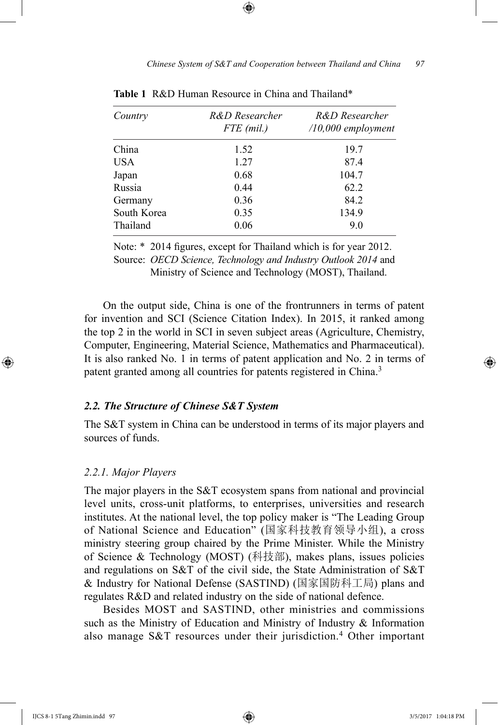| Country     | R&D Researcher<br>FTE (mil.) | R&D Researcher<br>$/10,000$ employment |  |  |
|-------------|------------------------------|----------------------------------------|--|--|
| China       | 1.52                         | 19.7                                   |  |  |
| <b>USA</b>  | 1.27                         | 87.4                                   |  |  |
| Japan       | 0.68                         | 104.7                                  |  |  |
| Russia      | 0.44                         | 62.2                                   |  |  |
| Germany     | 0.36                         | 84.2                                   |  |  |
| South Korea | 0.35                         | 134.9                                  |  |  |
| Thailand    | 0.06                         | 9.0                                    |  |  |

**Table 1** R&D Human Resource in China and Thailand\*

⊕

Note: \* 2014 figures, except for Thailand which is for year 2012. Source: *OECD Science, Technology and Industry Outlook 2014* and

Ministry of Science and Technology (MOST), Thailand.

On the output side, China is one of the frontrunners in terms of patent for invention and SCI (Science Citation Index). In 2015, it ranked among the top 2 in the world in SCI in seven subject areas (Agriculture, Chemistry, Computer, Engineering, Material Science, Mathematics and Pharmaceutical). It is also ranked No. 1 in terms of patent application and No. 2 in terms of patent granted among all countries for patents registered in China.<sup>3</sup>

#### *2.2. The Structure of Chinese S&T System*

The S&T system in China can be understood in terms of its major players and sources of funds.

#### *2.2.1. Major Players*

The major players in the S&T ecosystem spans from national and provincial level units, cross-unit platforms, to enterprises, universities and research institutes. At the national level, the top policy maker is "The Leading Group of National Science and Education" (国家科技教育领导小组), a cross ministry steering group chaired by the Prime Minister. While the Ministry of Science & Technology (MOST) (科技部), makes plans, issues policies and regulations on S&T of the civil side, the State Administration of S&T & Industry for National Defense (SASTIND) (国家国防科工局) plans and regulates R&D and related industry on the side of national defence.

Besides MOST and SASTIND, other ministries and commissions such as the Ministry of Education and Ministry of Industry & Information also manage  $S&T$  resources under their jurisdiction.<sup>4</sup> Other important

⊕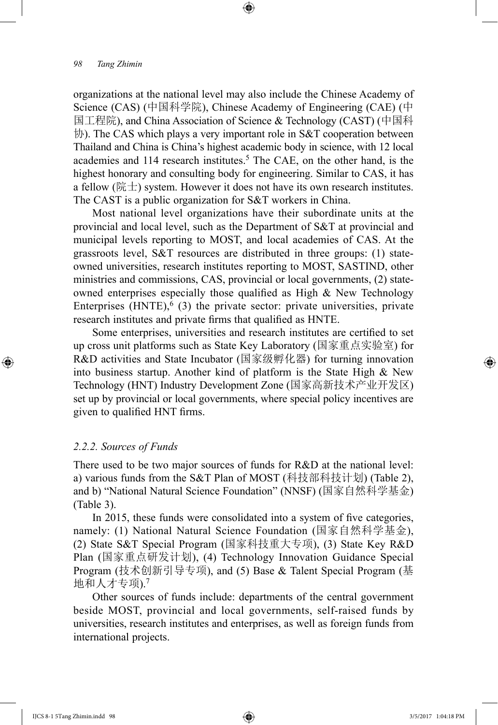organizations at the national level may also include the Chinese Academy of Science (CAS) (中国科学院), Chinese Academy of Engineering (CAE) (中 国工程院), and China Association of Science & Technology (CAST) (中国科 协). The CAS which plays a very important role in S&T cooperation between Thailand and China is China's highest academic body in science, with 12 local academies and  $114$  research institutes.<sup>5</sup> The CAE, on the other hand, is the highest honorary and consulting body for engineering. Similar to CAS, it has a fellow (院士) system. However it does not have its own research institutes. The CAST is a public organization for S&T workers in China.

⊕

Most national level organizations have their subordinate units at the provincial and local level, such as the Department of S&T at provincial and municipal levels reporting to MOST, and local academies of CAS. At the grassroots level, S&T resources are distributed in three groups: (1) stateowned universities, research institutes reporting to MOST, SASTIND, other ministries and commissions, CAS, provincial or local governments, (2) stateowned enterprises especially those qualified as High  $\&$  New Technology Enterprises (HNTE), $6$  (3) the private sector: private universities, private research institutes and private firms that qualified as HNTE.

Some enterprises, universities and research institutes are certified to set up cross unit platforms such as State Key Laboratory (国家重点实验室) for R&D activities and State Incubator (国家级孵化器) for turning innovation into business startup. Another kind of platform is the State High & New Technology (HNT) Industry Development Zone (国家高新技术产业开发区) set up by provincial or local governments, where special policy incentives are given to qualified HNT firms.

#### *2.2.2. Sources of Funds*

⊕

There used to be two major sources of funds for R&D at the national level: a) various funds from the S&T Plan of MOST (科技部科技计划) (Table 2), and b) "National Natural Science Foundation" (NNSF) (国家自然科学基金) (Table 3).

In 2015, these funds were consolidated into a system of five categories, namely: (1) National Natural Science Foundation (国家自然科学基金), (2) State S&T Special Program (国家科技重大专项), (3) State Key R&D Plan (国家重点研发计划), (4) Technology Innovation Guidance Special Program (技术创新引导专项), and (5) Base & Talent Special Program (基 地和人才专项).<sup>7</sup>

Other sources of funds include: departments of the central government beside MOST, provincial and local governments, self-raised funds by universities, research institutes and enterprises, as well as foreign funds from international projects.

↔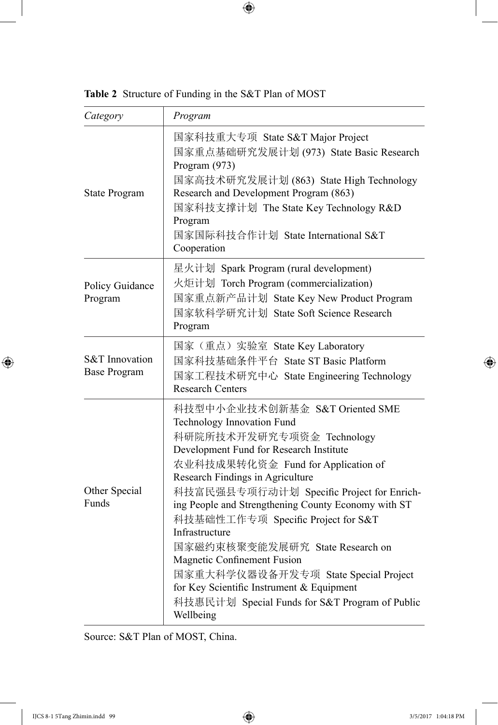| Category                              | Program                                                                                                                                                                                                                                                                                                                                                                                                                                                                                                                                                                                          |
|---------------------------------------|--------------------------------------------------------------------------------------------------------------------------------------------------------------------------------------------------------------------------------------------------------------------------------------------------------------------------------------------------------------------------------------------------------------------------------------------------------------------------------------------------------------------------------------------------------------------------------------------------|
| <b>State Program</b>                  | 国家科技重大专项 State S&T Major Project<br>国家重点基础研究发展计划 (973) State Basic Research<br>Program (973)<br>国家高技术研究发展计划 (863) State High Technology<br>Research and Development Program (863)<br>国家科技支撑计划 The State Key Technology R&D<br>Program<br>国家国际科技合作计划 State International S&T<br>Cooperation                                                                                                                                                                                                                                                                                                       |
| Policy Guidance<br>Program            | 星火计划 Spark Program (rural development)<br>火炬计划 Torch Program (commercialization)<br>国家重点新产品计划 State Key New Product Program<br>国家软科学研究计划 State Soft Science Research<br>Program                                                                                                                                                                                                                                                                                                                                                                                                                  |
| S&T Innovation<br><b>Base Program</b> | 国家(重点)实验室 State Key Laboratory<br>国家科技基础条件平台 State ST Basic Platform<br>国家工程技术研究中心 State Engineering Technology<br><b>Research Centers</b>                                                                                                                                                                                                                                                                                                                                                                                                                                                       |
| Other Special<br>Funds                | 科技型中小企业技术创新基金 S&T Oriented SME<br>Technology Innovation Fund<br>科研院所技术开发研究专项资金 Technology<br>Development Fund for Research Institute<br>农业科技成果转化资金 Fund for Application of<br>Research Findings in Agriculture<br>科技富民强县专项行动计划 Specific Project for Enrich-<br>ing People and Strengthening County Economy with ST<br>科技基础性工作专项 Specific Project for S&T<br>Infrastructure<br>国家磁约束核聚变能发展研究 State Research on<br>Magnetic Confinement Fusion<br>国家重大科学仪器设备开发专项 State Special Project<br>for Key Scientific Instrument & Equipment<br>科技惠民计划 Special Funds for S&T Program of Public<br>Wellbeing |

**Table 2** Structure of Funding in the S&T Plan of MOST

Source: S&T Plan of MOST, China.

 $\bigoplus$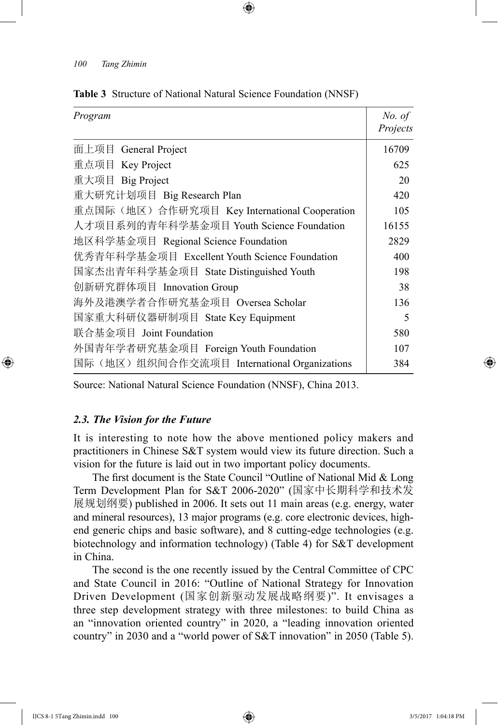| Program                                       | No. of<br>Projects |
|-----------------------------------------------|--------------------|
| 面上项目 General Project                          | 16709              |
| 重点项目 Key Project                              | 625                |
| 重大项目 Big Project                              | 20                 |
| 重大研究计划项目 Big Research Plan                    | 420                |
| 重点国际(地区)合作研究项目 Key International Cooperation  | 105                |
| 人才项目系列的青年科学基金项目 Youth Science Foundation      | 16155              |
| 地区科学基金项目 Regional Science Foundation          | 2829               |
| 优秀青年科学基金项目 Excellent Youth Science Foundation | 400                |
| 国家杰出青年科学基金项目 State Distinguished Youth        | 198                |
| 创新研究群体项目 Innovation Group                     | 38                 |
| 海外及港澳学者合作研究基金项目 Oversea Scholar               | 136                |
| 国家重大科研仪器研制项目 State Key Equipment              | 5                  |
| 联合基金项目 Joint Foundation                       | 580                |
| 外国青年学者研究基金项目 Foreign Youth Foundation         | 107                |
| 国际(地区)组织间合作交流项目 International Organizations   | 384                |

#### **Table 3** Structure of National Natural Science Foundation (NNSF)

⊕

Source: National Natural Science Foundation (NNSF), China 2013.

#### *2.3. The Vision for the Future*

It is interesting to note how the above mentioned policy makers and practitioners in Chinese S&T system would view its future direction. Such a vision for the future is laid out in two important policy documents.

The first document is the State Council "Outline of National Mid & Long Term Development Plan for S&T 2006-2020" (国家中长期科学和技术发 展规划纲要) published in 2006. It sets out 11 main areas (e.g. energy, water and mineral resources), 13 major programs (e.g. core electronic devices, highend generic chips and basic software), and 8 cutting-edge technologies (e.g. biotechnology and information technology) (Table 4) for S&T development in China.

The second is the one recently issued by the Central Committee of CPC and State Council in 2016: "Outline of National Strategy for Innovation Driven Development (国家创新驱动发展战略纲要)". It envisages a three step development strategy with three milestones: to build China as an "innovation oriented country" in 2020, a "leading innovation oriented country" in 2030 and a "world power of S&T innovation" in 2050 (Table 5).

⊕

↔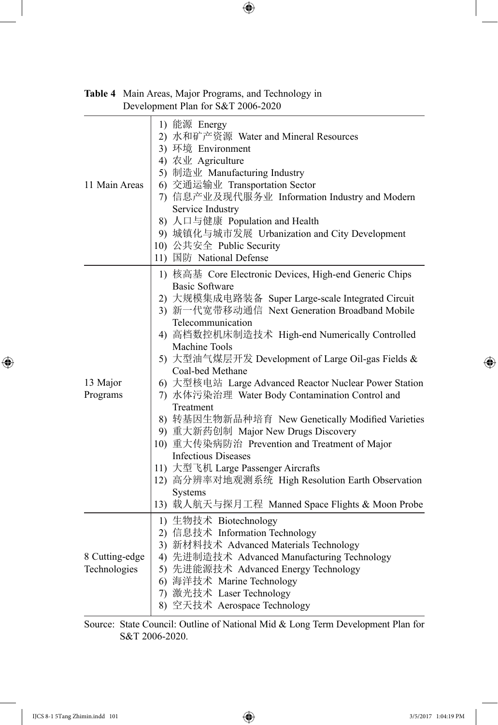| Table 4 Main Areas, Major Programs, and Technology in |
|-------------------------------------------------------|
| Development Plan for S&T 2006-2020                    |

| 11 Main Areas  | 1) 能源 Energy<br>2) 水和矿产资源 Water and Mineral Resources<br>3) 环境 Environment<br>4) 农业 Agriculture<br>5) 制造业 Manufacturing Industry<br>6) 交通运输业 Transportation Sector<br>7) 信息产业及现代服务业 Information Industry and Modern<br>Service Industry<br>8) 人口与健康 Population and Health<br>9) 城镇化与城市发展 Urbanization and City Development<br>10) 公共安全 Public Security<br>11) 国防 National Defense |  |  |  |
|----------------|-----------------------------------------------------------------------------------------------------------------------------------------------------------------------------------------------------------------------------------------------------------------------------------------------------------------------------------------------------------------------------------|--|--|--|
|                | 1) 核高基 Core Electronic Devices, High-end Generic Chips<br><b>Basic Software</b>                                                                                                                                                                                                                                                                                                   |  |  |  |
|                | 2) 大规模集成电路装备 Super Large-scale Integrated Circuit<br>3) 新一代宽带移动通信 Next Generation Broadband Mobile                                                                                                                                                                                                                                                                                |  |  |  |
|                | Telecommunication                                                                                                                                                                                                                                                                                                                                                                 |  |  |  |
|                | 4) 高档数控机床制造技术 High-end Numerically Controlled<br>Machine Tools                                                                                                                                                                                                                                                                                                                    |  |  |  |
|                | 5) 大型油气煤层开发 Development of Large Oil-gas Fields &                                                                                                                                                                                                                                                                                                                                 |  |  |  |
| 13 Major       | Coal-bed Methane<br>6) 大型核电站 Large Advanced Reactor Nuclear Power Station                                                                                                                                                                                                                                                                                                         |  |  |  |
| Programs       | 7) 水体污染治理 Water Body Contamination Control and                                                                                                                                                                                                                                                                                                                                    |  |  |  |
|                | Treatment                                                                                                                                                                                                                                                                                                                                                                         |  |  |  |
|                | 8) 转基因生物新品种培育 New Genetically Modified Varieties<br>9) 重大新药创制 Major New Drugs Discovery                                                                                                                                                                                                                                                                                           |  |  |  |
|                | 10) 重大传染病防治 Prevention and Treatment of Major                                                                                                                                                                                                                                                                                                                                     |  |  |  |
|                | <b>Infectious Diseases</b>                                                                                                                                                                                                                                                                                                                                                        |  |  |  |
|                | 11) 大型飞机 Large Passenger Aircrafts<br>12) 高分辨率对地观测系统 High Resolution Earth Observation                                                                                                                                                                                                                                                                                            |  |  |  |
|                | Systems                                                                                                                                                                                                                                                                                                                                                                           |  |  |  |
|                | 13) 载人航天与探月工程 Manned Space Flights & Moon Probe                                                                                                                                                                                                                                                                                                                                   |  |  |  |
|                | 1) 生物技术 Biotechnology                                                                                                                                                                                                                                                                                                                                                             |  |  |  |
|                | 2) 信息技术 Information Technology<br>3) 新材料技术 Advanced Materials Technology                                                                                                                                                                                                                                                                                                          |  |  |  |
| 8 Cutting-edge | 4) 先进制造技术 Advanced Manufacturing Technology                                                                                                                                                                                                                                                                                                                                       |  |  |  |
| Technologies   | 5) 先进能源技术 Advanced Energy Technology                                                                                                                                                                                                                                                                                                                                              |  |  |  |
|                | 6) 海洋技术 Marine Technology                                                                                                                                                                                                                                                                                                                                                         |  |  |  |
|                | 7) 激光技术 Laser Technology                                                                                                                                                                                                                                                                                                                                                          |  |  |  |
|                | 8) 空天技术 Aerospace Technology                                                                                                                                                                                                                                                                                                                                                      |  |  |  |

Source: State Council: Outline of National Mid & Long Term Development Plan for S&T 2006-2020.

 $\bigoplus$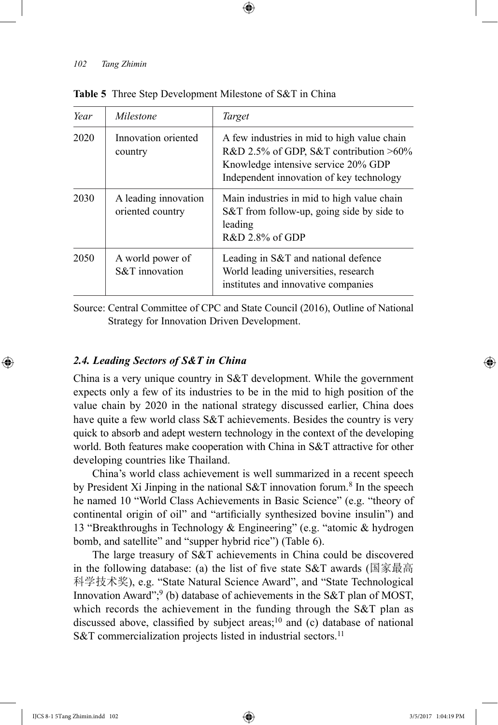| Year | Milestone                                | Target                                                                                                                                                                      |
|------|------------------------------------------|-----------------------------------------------------------------------------------------------------------------------------------------------------------------------------|
| 2020 | Innovation oriented<br>country           | A few industries in mid to high value chain<br>R&D 2.5% of GDP, S&T contribution $>60\%$<br>Knowledge intensive service 20% GDP<br>Independent innovation of key technology |
| 2030 | A leading innovation<br>oriented country | Main industries in mid to high value chain<br>S&T from follow-up, going side by side to<br>leading<br>$R&D$ 2.8% of GDP                                                     |
| 2050 | A world power of<br>S&T innovation       | Leading in $S&T$ and national defence<br>World leading universities, research<br>institutes and innovative companies                                                        |

⊕

**Table 5** Three Step Development Milestone of S&T in China

Source: Central Committee of CPC and State Council (2016), Outline of National Strategy for Innovation Driven Development.

# *2.4. Leading Sectors of S&T in China*

China is a very unique country in S&T development. While the government expects only a few of its industries to be in the mid to high position of the value chain by 2020 in the national strategy discussed earlier, China does have quite a few world class S&T achievements. Besides the country is very quick to absorb and adept western technology in the context of the developing world. Both features make cooperation with China in S&T attractive for other developing countries like Thailand.

China's world class achievement is well summarized in a recent speech by President Xi Jinping in the national  $S&T$  innovation forum.<sup>8</sup> In the speech he named 10 "World Class Achievements in Basic Science" (e.g. "theory of continental origin of oil" and "artificially synthesized bovine insulin") and 13 "Breakthroughs in Technology & Engineering" (e.g. "atomic & hydrogen bomb, and satellite" and "supper hybrid rice") (Table 6).

The large treasury of S&T achievements in China could be discovered in the following database: (a) the list of five state S&T awards (国家最高 科学技术奖), e.g. "State Natural Science Award", and "State Technological Innovation Award";<sup>9</sup> (b) database of achievements in the S&T plan of MOST, which records the achievement in the funding through the S&T plan as discussed above, classified by subject areas; $^{10}$  and (c) database of national S&T commercialization projects listed in industrial sectors.<sup>11</sup>

⊕

↔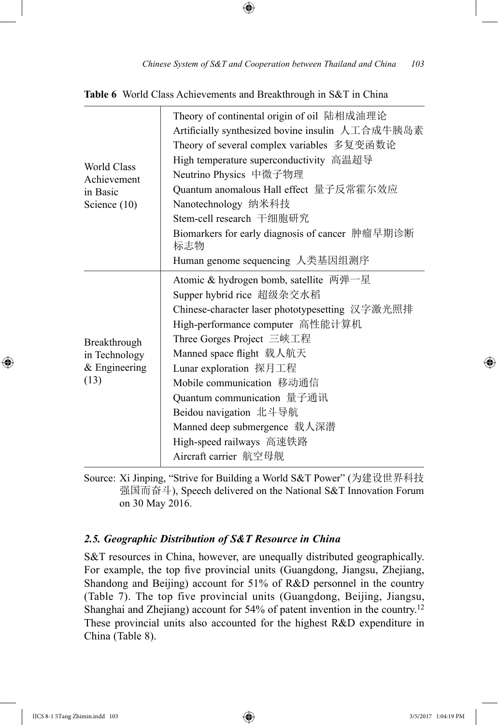|  |  |  |  |  | Table 6 World Class Achievements and Breakthrough in S&T in China |  |  |  |  |
|--|--|--|--|--|-------------------------------------------------------------------|--|--|--|--|
|--|--|--|--|--|-------------------------------------------------------------------|--|--|--|--|

 $\textcircled{\scriptsize{+}}$ 

| <b>World Class</b><br>Achievement<br>in Basic<br>Science (10) | Theory of continental origin of oil 陆相成油理论<br>Artificially synthesized bovine insulin 人工合成牛胰岛素<br>Theory of several complex variables 多复变函数论<br>High temperature superconductivity 高温超导<br>Neutrino Physics 中微子物理<br>Quantum anomalous Hall effect 量子反常霍尔效应<br>Nanotechnology 纳米科技<br>Stem-cell research 干细胞研究<br>Biomarkers for early diagnosis of cancer 肿瘤早期诊断<br>标志物                                                |
|---------------------------------------------------------------|-------------------------------------------------------------------------------------------------------------------------------------------------------------------------------------------------------------------------------------------------------------------------------------------------------------------------------------------------------------------------------------------------------------------------|
|                                                               | Human genome sequencing 人类基因组测序                                                                                                                                                                                                                                                                                                                                                                                         |
| Breakthrough<br>in Technology<br>& Engineering<br>(13)        | Atomic & hydrogen bomb, satellite 两弹一星<br>Supper hybrid rice 超级杂交水稻<br>Chinese-character laser phototypesetting 汉字激光照排<br>High-performance computer 高性能计算机<br>Three Gorges Project 三峡工程<br>Manned space flight 载人航天<br>Lunar exploration 探月工程<br>Mobile communication 移动通信<br>Quantum communication 量子通讯<br>Beidou navigation 北斗导航<br>Manned deep submergence 载人深潜<br>High-speed railways 高速铁路<br>Aircraft carrier 航空母舰 |

Source: Xi Jinping, "Strive for Building a World S&T Power" (为建设世界科技 强国而奋斗), Speech delivered on the National S&T Innovation Forum on 30 May 2016.

# *2.5. Geographic Distribution of S&T Resource in China*

S&T resources in China, however, are unequally distributed geographically. For example, the top five provincial units (Guangdong, Jiangsu, Zhejiang, Shandong and Beijing) account for 51% of R&D personnel in the country (Table 7). The top five provincial units (Guangdong, Beijing, Jiangsu, Shanghai and Zhejiang) account for 54% of patent invention in the country.<sup>12</sup> These provincial units also accounted for the highest R&D expenditure in China (Table 8).

⊕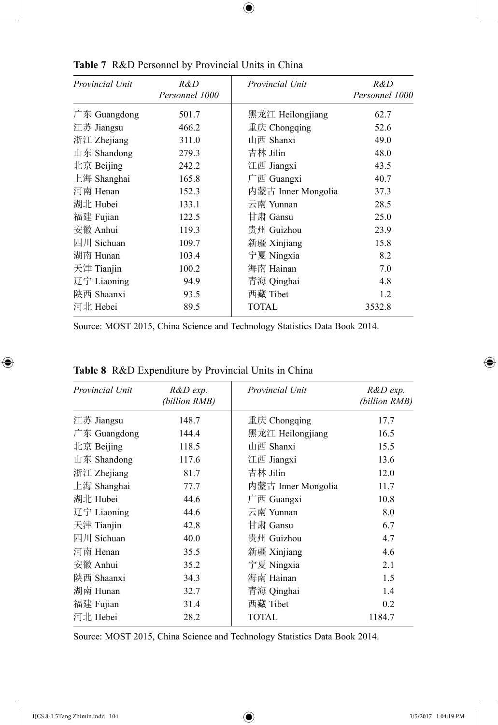| Provincial Unit | R&D<br>Personnel 1000 | Provincial Unit    | R&D<br>Personnel 1000 |
|-----------------|-----------------------|--------------------|-----------------------|
| 广东 Guangdong    | 501.7                 | 黑龙江 Heilongjiang   | 62.7                  |
| 江苏 Jiangsu      | 466.2                 | 重庆 Chongqing       | 52.6                  |
| 浙江 Zhejiang     | 311.0                 | 山西 Shanxi          | 49.0                  |
| 山东 Shandong     | 279.3                 | 吉林 Jilin           | 48.0                  |
| 北京 Beijing      | 242.2                 | 江西 Jiangxi         | 43.5                  |
| 上海 Shanghai     | 165.8                 | 广西 Guangxi         | 40.7                  |
| 河南 Henan        | 152.3                 | 内蒙古 Inner Mongolia | 37.3                  |
| 湖北 Hubei        | 133.1                 | 云南 Yunnan          | 28.5                  |
| 福建 Fujian       | 122.5                 | 甘肃 Gansu           | 25.0                  |
| 安徽 Anhui        | 119.3                 | 贵州 Guizhou         | 23.9                  |
| 四川 Sichuan      | 109.7                 | 新疆 Xinjiang        | 15.8                  |
| 湖南 Hunan        | 103.4                 | 宁夏 Ningxia         | 8.2                   |
| 天津 Tianjin      | 100.2                 | 海南 Hainan          | 7.0                   |
| 辽宁 Liaoning     | 94.9                  | 青海 Qinghai         | 4.8                   |
| 陕西 Shaanxi      | 93.5                  | 西藏 Tibet           | 1.2                   |
| 河北 Hebei        | 89.5                  | <b>TOTAL</b>       | 3532.8                |

Source: MOST 2015, China Science and Technology Statistics Data Book 2014.

| Provincial Unit | R&D exp.<br>(billion RMB) | Provincial Unit    | R&D exp.<br>(billion RMB) |
|-----------------|---------------------------|--------------------|---------------------------|
| 江苏 Jiangsu      | 148.7                     | 重庆 Chongqing       | 17.7                      |
| 广东 Guangdong    | 144.4                     | 黑龙江 Heilongjiang   | 16.5                      |
| 北京 Beijing      | 118.5                     | 山西 Shanxi          | 15.5                      |
| 山东 Shandong     | 117.6                     | 江西 Jiangxi         | 13.6                      |
| 浙江 Zhejiang     | 81.7                      | 吉林 Jilin           | 12.0                      |
| 上海 Shanghai     | 77.7                      | 内蒙古 Inner Mongolia | 11.7                      |
| 湖北 Hubei        | 44.6                      | 广西 Guangxi         | 10.8                      |
| 辽宁 Liaoning     | 44.6                      | 云南 Yunnan          | 8.0                       |
| 天津 Tianjin      | 42.8                      | 甘肃 Gansu           | 6.7                       |
| 四川 Sichuan      | 40.0                      | 贵州 Guizhou         | 4.7                       |
| 河南 Henan        | 35.5                      | 新疆 Xinjiang        | 4.6                       |
| 安徽 Anhui        | 35.2                      | 宁夏 Ningxia         | 2.1                       |
| 陕西 Shaanxi      | 34.3                      | 海南 Hainan          | 1.5                       |
| 湖南 Hunan        | 32.7                      | 青海 Qinghai         | 1.4                       |
| 福建 Fujian       | 31.4                      | 西藏 Tibet           | 0.2                       |
| 河北 Hebei        | 28.2                      | <b>TOTAL</b>       | 1184.7                    |

# **Table 8** R&D Expenditure by Provincial Units in China

Source: MOST 2015, China Science and Technology Statistics Data Book 2014.

 $\bigoplus$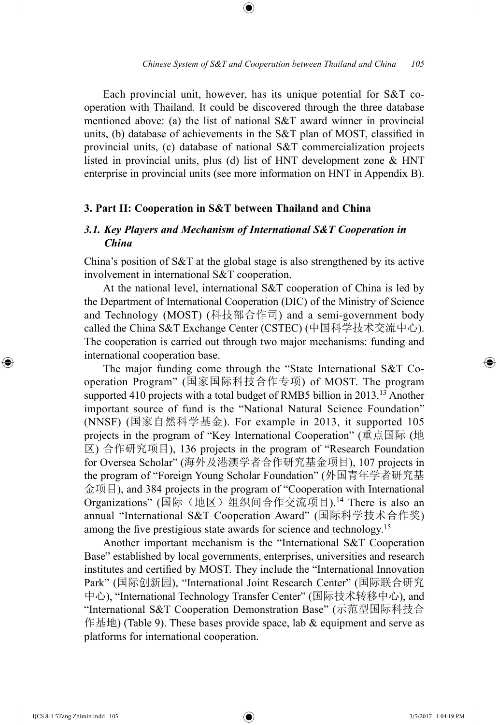Each provincial unit, however, has its unique potential for S&T cooperation with Thailand. It could be discovered through the three database mentioned above: (a) the list of national S&T award winner in provincial units, (b) database of achievements in the S&T plan of MOST, classified in provincial units, (c) database of national S&T commercialization projects listed in provincial units, plus (d) list of HNT development zone & HNT enterprise in provincial units (see more information on HNT in Appendix B).

⊕

#### **3. Part II: Cooperation in S&T between Thailand and China**

# *3.1. Key Players and Mechanism of International S&T Cooperation in China*

China's position of S&T at the global stage is also strengthened by its active involvement in international S&T cooperation.

At the national level, international S&T cooperation of China is led by the Department of International Cooperation (DIC) of the Ministry of Science and Technology (MOST) (科技部合作司) and a semi-government body called the China S&T Exchange Center (CSTEC) (中国科学技术交流中心). The cooperation is carried out through two major mechanisms: funding and international cooperation base.

The major funding come through the "State International S&T Cooperation Program" (国家国际科技合作专项) of MOST. The program supported 410 projects with a total budget of RMB5 billion in 2013.<sup>13</sup> Another important source of fund is the "National Natural Science Foundation" (NNSF) (国家自然科学基金). For example in 2013, it supported 105 projects in the program of "Key International Cooperation" (重点国际 (地 区) 合作研究项目), 136 projects in the program of "Research Foundation for Oversea Scholar" (海外及港澳学者合作研究基金项目), 107 projects in the program of "Foreign Young Scholar Foundation" (外国青年学者研究基 金项目), and 384 projects in the program of "Cooperation with International Organizations" (国际(地区)组织间合作交流项目).<sup>14</sup> There is also an annual "International S&T Cooperation Award" (国际科学技术合作奖) among the five prestigious state awards for science and technology.<sup>15</sup>

Another important mechanism is the "International S&T Cooperation Base" established by local governments, enterprises, universities and research institutes and certified by MOST. They include the "International Innovation Park" (国际创新园), "International Joint Research Center" (国际联合研究 中心), "International Technology Transfer Center" (国际技术转移中心), and "International S&T Cooperation Demonstration Base" (示范型国际科技合 作基地) (Table 9). These bases provide space, lab  $\&$  equipment and serve as platforms for international cooperation.

⊕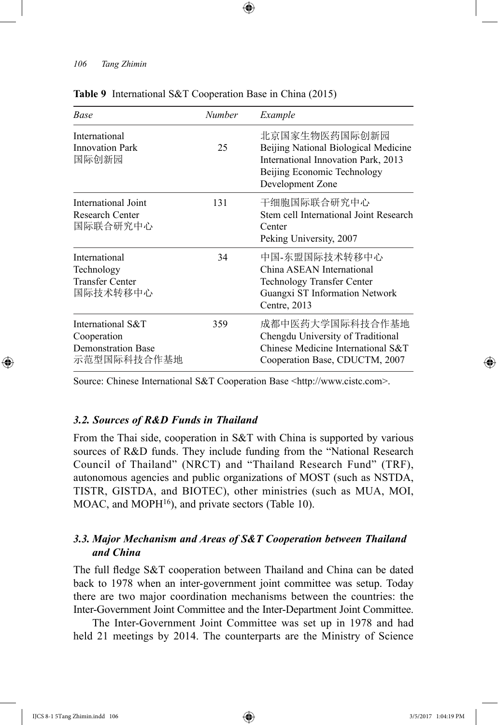| Base                                                                         | Number | Example                                                                                                                                         |
|------------------------------------------------------------------------------|--------|-------------------------------------------------------------------------------------------------------------------------------------------------|
| International<br><b>Innovation Park</b><br>国际创新园                             | 25     | 北京国家生物医药国际创新园<br>Beijing National Biological Medicine<br>International Innovation Park, 2013<br>Beijing Economic Technology<br>Development Zone |
| International Joint<br>Research Center<br>国际联合研究中心                           | 131    | 干细胞国际联合研究中心<br>Stem cell International Joint Research<br>Center<br>Peking University, 2007                                                      |
| International<br>Technology<br><b>Transfer Center</b><br>国际技术转移中心            | 34     | 中国-东盟国际技术转移中心<br>China ASEAN International<br>Technology Transfer Center<br>Guangxi ST Information Network<br>Centre, 2013                      |
| International S&T<br>Cooperation<br><b>Demonstration Base</b><br>示范型国际科技合作基地 | 359    | 成都中医药大学国际科技合作基地<br>Chengdu University of Traditional<br>Chinese Medicine International S&T<br>Cooperation Base, CDUCTM, 2007                    |

⊕

#### **Table 9** International S&T Cooperation Base in China (2015)

Source: Chinese International S&T Cooperation Base <http://www.cistc.com>.

#### *3.2. Sources of R&D Funds in Thailand*

From the Thai side, cooperation in S&T with China is supported by various sources of R&D funds. They include funding from the "National Research Council of Thailand" (NRCT) and "Thailand Research Fund" (TRF), autonomous agencies and public organizations of MOST (such as NSTDA, TISTR, GISTDA, and BIOTEC), other ministries (such as MUA, MOI,  $MOAC$ , and  $MOPH<sup>16</sup>$ ), and private sectors (Table 10).

# *3.3. Major Mechanism and Areas of S&T Cooperation between Thailand and China*

The full fledge S&T cooperation between Thailand and China can be dated back to 1978 when an inter-government joint committee was setup. Today there are two major coordination mechanisms between the countries: the Inter-Government Joint Committee and the Inter-Department Joint Committee.

The Inter-Government Joint Committee was set up in 1978 and had held 21 meetings by 2014. The counterparts are the Ministry of Science

⊕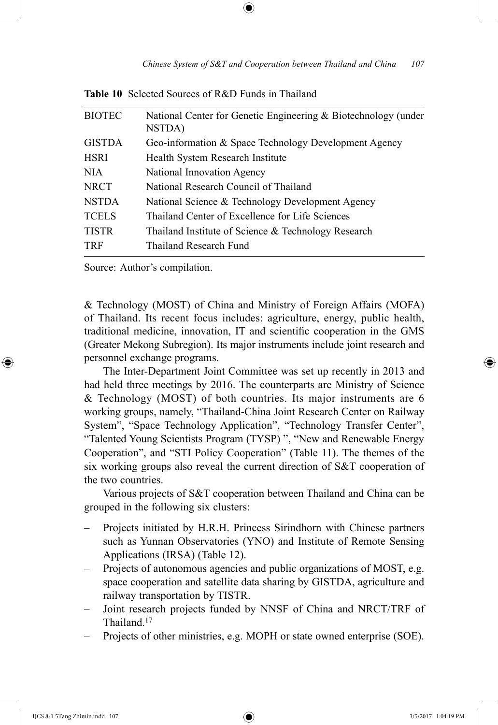| <b>BIOTEC</b> | National Center for Genetic Engineering & Biotechnology (under<br>NSTDA) |
|---------------|--------------------------------------------------------------------------|
| <b>GISTDA</b> | Geo-information $&$ Space Technology Development Agency                  |
| <b>HSRI</b>   | Health System Research Institute                                         |
| NIA           | National Innovation Agency                                               |
| <b>NRCT</b>   | National Research Council of Thailand                                    |
| <b>NSTDA</b>  | National Science & Technology Development Agency                         |
| <b>TCELS</b>  | Thailand Center of Excellence for Life Sciences                          |
| <b>TISTR</b>  | Thailand Institute of Science & Technology Research                      |
| <b>TRF</b>    | Thailand Research Fund                                                   |
|               |                                                                          |

⊕

**Table 10** Selected Sources of R&D Funds in Thailand

Source: Author's compilation.

& Technology (MOST) of China and Ministry of Foreign Affairs (MOFA) of Thailand. Its recent focus includes: agriculture, energy, public health, traditional medicine, innovation, IT and scientific cooperation in the GMS (Greater Mekong Subregion). Its major instruments include joint research and personnel exchange programs.

The Inter-Department Joint Committee was set up recently in 2013 and had held three meetings by 2016. The counterparts are Ministry of Science & Technology (MOST) of both countries. Its major instruments are 6 working groups, namely, "Thailand-China Joint Research Center on Railway System", "Space Technology Application", "Technology Transfer Center", "Talented Young Scientists Program (TYSP) ", "New and Renewable Energy Cooperation", and "STI Policy Cooperation" (Table 11). The themes of the six working groups also reveal the current direction of S&T cooperation of the two countries.

Various projects of S&T cooperation between Thailand and China can be grouped in the following six clusters:

- Projects initiated by H.R.H. Princess Sirindhorn with Chinese partners such as Yunnan Observatories (YNO) and Institute of Remote Sensing Applications (IRSA) (Table 12).
- Projects of autonomous agencies and public organizations of MOST, e.g. space cooperation and satellite data sharing by GISTDA, agriculture and railway transportation by TISTR.
- Joint research projects funded by NNSF of China and NRCT/TRF of Thailand.17
- Projects of other ministries, e.g. MOPH or state owned enterprise (SOE).

⊕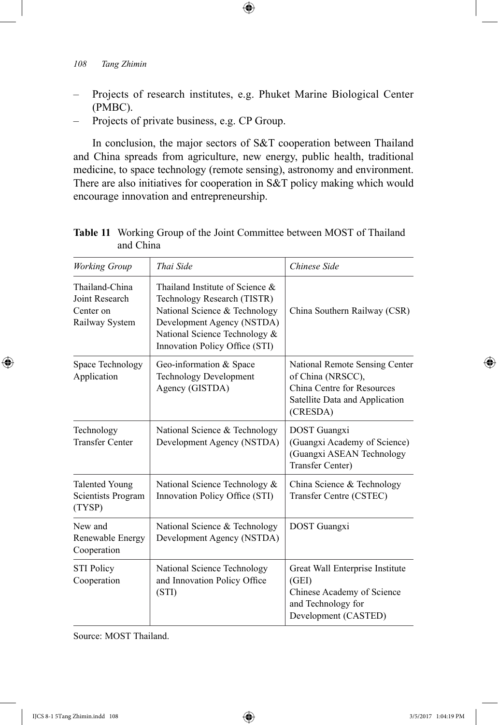– Projects of research institutes, e.g. Phuket Marine Biological Center (PMBC).

 $\bigoplus$ 

– Projects of private business, e.g. CP Group.

In conclusion, the major sectors of S&T cooperation between Thailand and China spreads from agriculture, new energy, public health, traditional medicine, to space technology (remote sensing), astronomy and environment. There are also initiatives for cooperation in S&T policy making which would encourage innovation and entrepreneurship.

| Working Group                                                   | Thai Side                                                                                                                                                                                        | Chinese Side                                                                                                                    |
|-----------------------------------------------------------------|--------------------------------------------------------------------------------------------------------------------------------------------------------------------------------------------------|---------------------------------------------------------------------------------------------------------------------------------|
| Thailand-China<br>Joint Research<br>Center on<br>Railway System | Thailand Institute of Science &<br>Technology Research (TISTR)<br>National Science & Technology<br>Development Agency (NSTDA)<br>National Science Technology &<br>Innovation Policy Office (STI) | China Southern Railway (CSR)                                                                                                    |
| Space Technology<br>Application                                 | Geo-information & Space<br><b>Technology Development</b><br>Agency (GISTDA)                                                                                                                      | National Remote Sensing Center<br>of China (NRSCC),<br>China Centre for Resources<br>Satellite Data and Application<br>(CRESDA) |
| Technology<br><b>Transfer Center</b>                            | National Science & Technology<br>Development Agency (NSTDA)                                                                                                                                      | DOST Guangxi<br>(Guangxi Academy of Science)<br>(Guangxi ASEAN Technology<br>Transfer Center)                                   |
| <b>Talented Young</b><br>Scientists Program<br>(TYSP)           | National Science Technology &<br>Innovation Policy Office (STI)                                                                                                                                  | China Science & Technology<br>Transfer Centre (CSTEC)                                                                           |
| New and<br>Renewable Energy<br>Cooperation                      | National Science & Technology<br>Development Agency (NSTDA)                                                                                                                                      | DOST Guangxi                                                                                                                    |
| <b>STI Policy</b><br>Cooperation                                | National Science Technology<br>and Innovation Policy Office<br>(STI)                                                                                                                             | Great Wall Enterprise Institute<br>(GEI)<br>Chinese Academy of Science<br>and Technology for<br>Development (CASTED)            |

| Table 11 Working Group of the Joint Committee between MOST of Thailand |
|------------------------------------------------------------------------|
| and China                                                              |

Source: MOST Thailand.

⊕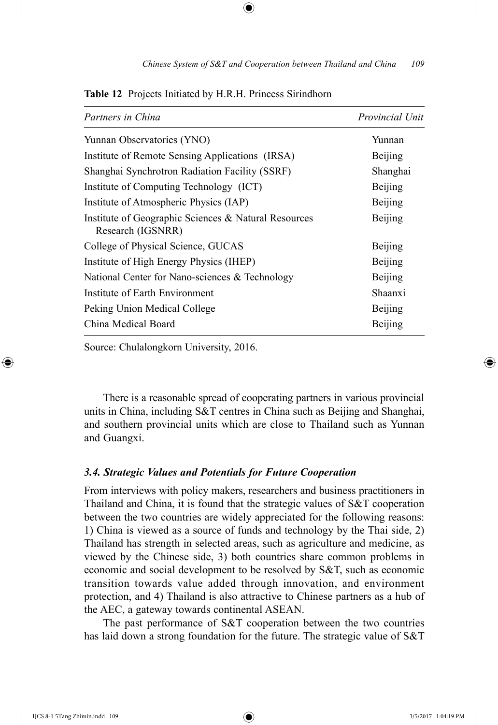⊕

| Partners in China                                                         | Provincial Unit |
|---------------------------------------------------------------------------|-----------------|
| Yunnan Observatories (YNO)                                                | Yunnan          |
| Institute of Remote Sensing Applications (IRSA)                           | Beijing         |
| Shanghai Synchrotron Radiation Facility (SSRF)                            | Shanghai        |
| Institute of Computing Technology (ICT)                                   | Beijing         |
| Institute of Atmospheric Physics (IAP)                                    | Beijing         |
| Institute of Geographic Sciences & Natural Resources<br>Research (IGSNRR) | Beijing         |
| College of Physical Science, GUCAS                                        | Beijing         |
| Institute of High Energy Physics (IHEP)                                   | Beijing         |
| National Center for Nano-sciences & Technology                            | Beijing         |
| Institute of Earth Environment                                            | Shaanxi         |
| Peking Union Medical College                                              | Beijing         |
| China Medical Board                                                       | Beijing         |

#### **Table 12** Projects Initiated by H.R.H. Princess Sirindhorn

Source: Chulalongkorn University, 2016.

There is a reasonable spread of cooperating partners in various provincial units in China, including S&T centres in China such as Beijing and Shanghai, and southern provincial units which are close to Thailand such as Yunnan and Guangxi.

#### *3.4. Strategic Values and Potentials for Future Cooperation*

From interviews with policy makers, researchers and business practitioners in Thailand and China, it is found that the strategic values of S&T cooperation between the two countries are widely appreciated for the following reasons: 1) China is viewed as a source of funds and technology by the Thai side, 2) Thailand has strength in selected areas, such as agriculture and medicine, as viewed by the Chinese side, 3) both countries share common problems in economic and social development to be resolved by S&T, such as economic transition towards value added through innovation, and environment protection, and 4) Thailand is also attractive to Chinese partners as a hub of the AEC, a gateway towards continental ASEAN.

The past performance of S&T cooperation between the two countries has laid down a strong foundation for the future. The strategic value of S&T

⊕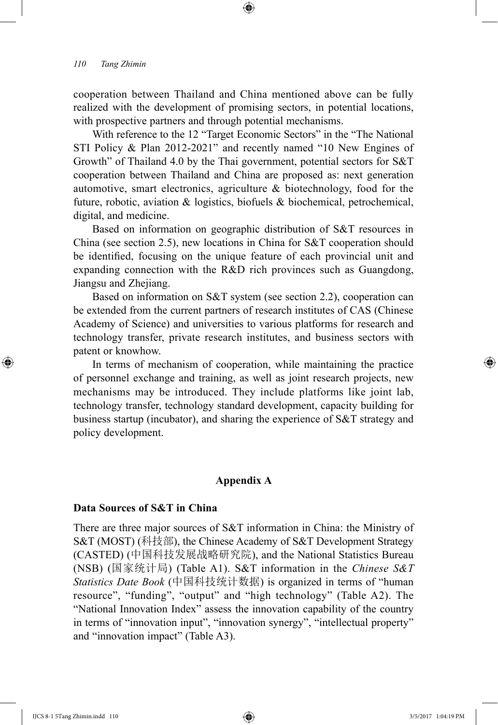cooperation between Thailand and China mentioned above can be fully realized with the development of promising sectors, in potential locations, with prospective partners and through potential mechanisms.

⊕

With reference to the 12 "Target Economic Sectors" in the "The National STI Policy & Plan 2012-2021" and recently named "10 New Engines of Growth" of Thailand 4.0 by the Thai government, potential sectors for S&T cooperation between Thailand and China are proposed as: next generation automotive, smart electronics, agriculture & biotechnology, food for the future, robotic, aviation & logistics, biofuels & biochemical, petrochemical, digital, and medicine.

Based on information on geographic distribution of S&T resources in China (see section 2.5), new locations in China for S&T cooperation should be identified, focusing on the unique feature of each provincial unit and expanding connection with the R&D rich provinces such as Guangdong, Jiangsu and Zhejiang.

Based on information on S&T system (see section 2.2), cooperation can be extended from the current partners of research institutes of CAS (Chinese Academy of Science) and universities to various platforms for research and technology transfer, private research institutes, and business sectors with patent or knowhow.

In terms of mechanism of cooperation, while maintaining the practice of personnel exchange and training, as well as joint research projects, new mechanisms may be introduced. They include platforms like joint lab, technology transfer, technology standard development, capacity building for business startup (incubator), and sharing the experience of S&T strategy and policy development.

#### **Appendix A**

#### **Data Sources of S&T in China**

There are three major sources of S&T information in China: the Ministry of S&T (MOST) (科技部), the Chinese Academy of S&T Development Strategy (CASTED) (中国科技发展战略研究院), and the National Statistics Bureau (NSB) (国家统计局) (Table A1). S&T information in the *Chinese S&T Statistics Date Book* (中国科技统计数据) is organized in terms of "human resource", "funding", "output" and "high technology" (Table A2). The "National Innovation Index" assess the innovation capability of the country in terms of "innovation input", "innovation synergy", "intellectual property" and "innovation impact" (Table A3).

⊕

↔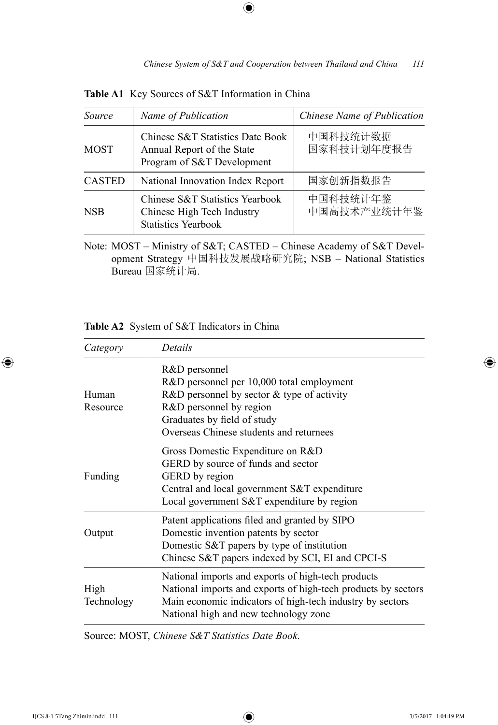| <i>Source</i> | Name of Publication                                                                          | Chinese Name of Publication |
|---------------|----------------------------------------------------------------------------------------------|-----------------------------|
| <b>MOST</b>   | Chinese S&T Statistics Date Book<br>Annual Report of the State<br>Program of S&T Development | 中国科技统计数据<br>国家科技计划年度报告      |
| <b>CASTED</b> | National Innovation Index Report                                                             | 国家创新指数报告                    |
| <b>NSB</b>    | Chinese S&T Statistics Yearbook<br>Chinese High Tech Industry<br><b>Statistics Yearbook</b>  | 中国科技统计年鉴<br>中国高技术产业统计年鉴     |

**Table A1** Key Sources of S&T Information in China

Note: MOST – Ministry of S&T; CASTED – Chinese Academy of S&T Development Strategy 中国科技发展战略研究院; NSB – National Statistics Bureau 国家统计局.

|  |  |  | Table A2 System of S&T Indicators in China |  |  |
|--|--|--|--------------------------------------------|--|--|
|--|--|--|--------------------------------------------|--|--|

| Category           | Details                                                                                                                                                                                                                   |  |
|--------------------|---------------------------------------------------------------------------------------------------------------------------------------------------------------------------------------------------------------------------|--|
| Human<br>Resource  | R&D personnel<br>R&D personnel per 10,000 total employment<br>R&D personnel by sector $\&$ type of activity<br>R&D personnel by region<br>Graduates by field of study<br>Overseas Chinese students and returnees          |  |
| Funding            | Gross Domestic Expenditure on R&D<br>GERD by source of funds and sector<br>GERD by region<br>Central and local government S&T expenditure<br>Local government S&T expenditure by region                                   |  |
| Output             | Patent applications filed and granted by SIPO<br>Domestic invention patents by sector<br>Domestic S&T papers by type of institution<br>Chinese S&T papers indexed by SCI, EI and CPCI-S                                   |  |
| High<br>Technology | National imports and exports of high-tech products<br>National imports and exports of high-tech products by sectors<br>Main economic indicators of high-tech industry by sectors<br>National high and new technology zone |  |

Source: MOST, *Chinese S&T Statistics Date Book*.

⊕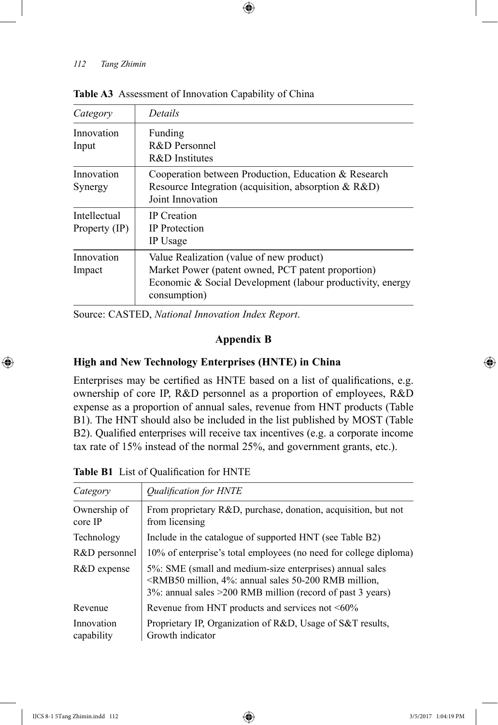| Category                      | Details                                                                                                                                                                      |
|-------------------------------|------------------------------------------------------------------------------------------------------------------------------------------------------------------------------|
| Innovation<br>Input           | Funding<br>R&D Personnel<br>R&D Institutes                                                                                                                                   |
| Innovation<br>Synergy         | Cooperation between Production, Education & Research<br>Resource Integration (acquisition, absorption & R&D)<br>Joint Innovation                                             |
| Intellectual<br>Property (IP) | <b>IP</b> Creation<br><b>IP</b> Protection<br>IP Usage                                                                                                                       |
| Innovation<br>Impact          | Value Realization (value of new product)<br>Market Power (patent owned, PCT patent proportion)<br>Economic & Social Development (labour productivity, energy<br>consumption) |

 $\bigoplus$ 

**Table A3** Assessment of Innovation Capability of China

Source: CASTED, *National Innovation Index Report*.

# **Appendix B**

# **High and New Technology Enterprises (HNTE) in China**

Enterprises may be certified as HNTE based on a list of qualifications, e.g. ownership of core IP, R&D personnel as a proportion of employees, R&D expense as a proportion of annual sales, revenue from HNT products (Table B1). The HNT should also be included in the list published by MOST (Table B2). Qualified enterprises will receive tax incentives (e.g. a corporate income tax rate of 15% instead of the normal 25%, and government grants, etc.).

| Category                 | Qualification for HNTE                                                                                                                                                                                                        |  |
|--------------------------|-------------------------------------------------------------------------------------------------------------------------------------------------------------------------------------------------------------------------------|--|
| Ownership of<br>core IP  | From proprietary R&D, purchase, donation, acquisition, but not<br>from licensing                                                                                                                                              |  |
| Technology               | Include in the catalogue of supported HNT (see Table B2)                                                                                                                                                                      |  |
| R&D personnel            | 10% of enterprise's total employees (no need for college diploma)                                                                                                                                                             |  |
| R&D expense              | 5%: SME (small and medium-size enterprises) annual sales<br><rmb50 4%:="" 50-200="" annual="" million,="" million,<br="" rmb="" sales=""><math>3\%</math>: annual sales &gt; 200 RMB million (record of past 3 years)</rmb50> |  |
| Revenue                  | Revenue from HNT products and services not <60%                                                                                                                                                                               |  |
| Innovation<br>capability | Proprietary IP, Organization of R&D, Usage of S&T results,<br>Growth indicator                                                                                                                                                |  |

**Table B1** List of Qualification for HNTE

⊕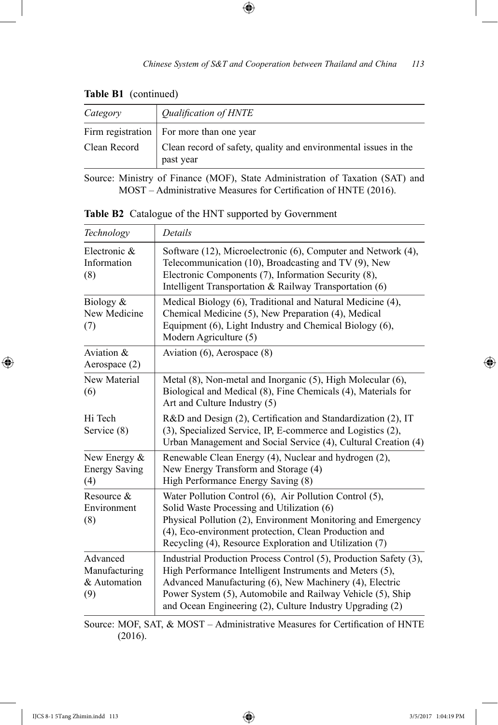| Category     | Qualification of HNTE                                                        |
|--------------|------------------------------------------------------------------------------|
|              | Firm registration   For more than one year                                   |
| Clean Record | Clean record of safety, quality and environmental issues in the<br>past year |

**Table B1** (continued)

Source: Ministry of Finance (MOF), State Administration of Taxation (SAT) and MOST – Administrative Measures for Certification of HNTE (2016).

| Technology                                       | Details                                                                                                                                                                                                                                                                                                             |  |
|--------------------------------------------------|---------------------------------------------------------------------------------------------------------------------------------------------------------------------------------------------------------------------------------------------------------------------------------------------------------------------|--|
| Electronic &<br>Information<br>(8)               | Software (12), Microelectronic (6), Computer and Network (4),<br>Telecommunication (10), Broadcasting and TV (9), New<br>Electronic Components (7), Information Security (8),<br>Intelligent Transportation & Railway Transportation (6)                                                                            |  |
| Biology $\&$<br>New Medicine<br>(7)              | Medical Biology (6), Traditional and Natural Medicine (4),<br>Chemical Medicine (5), New Preparation (4), Medical<br>Equipment (6), Light Industry and Chemical Biology (6),<br>Modern Agriculture (5)                                                                                                              |  |
| Aviation &<br>Aerospace (2)                      | Aviation (6), Aerospace (8)                                                                                                                                                                                                                                                                                         |  |
| New Material<br>(6)                              | Metal (8), Non-metal and Inorganic (5), High Molecular (6),<br>Biological and Medical (8), Fine Chemicals (4), Materials for<br>Art and Culture Industry (5)                                                                                                                                                        |  |
| Hi Tech<br>Service (8)                           | R&D and Design (2), Certification and Standardization (2), IT<br>(3), Specialized Service, IP, E-commerce and Logistics (2),<br>Urban Management and Social Service (4), Cultural Creation (4)                                                                                                                      |  |
| New Energy &<br><b>Energy Saving</b><br>(4)      | Renewable Clean Energy (4), Nuclear and hydrogen (2),<br>New Energy Transform and Storage (4)<br>High Performance Energy Saving (8)                                                                                                                                                                                 |  |
| Resource $\&$<br>Environment<br>(8)              | Water Pollution Control (6), Air Pollution Control (5),<br>Solid Waste Processing and Utilization (6)<br>Physical Pollution (2), Environment Monitoring and Emergency<br>(4), Eco-environment protection, Clean Production and<br>Recycling (4), Resource Exploration and Utilization (7)                           |  |
| Advanced<br>Manufacturing<br>& Automation<br>(9) | Industrial Production Process Control (5), Production Safety (3),<br>High Performance Intelligent Instruments and Meters (5),<br>Advanced Manufacturing (6), New Machinery (4), Electric<br>Power System (5), Automobile and Railway Vehicle (5), Ship<br>and Ocean Engineering (2), Culture Industry Upgrading (2) |  |

**Table B2** Catalogue of the HNT supported by Government

Source: MOF, SAT, & MOST – Administrative Measures for Certification of HNTE (2016).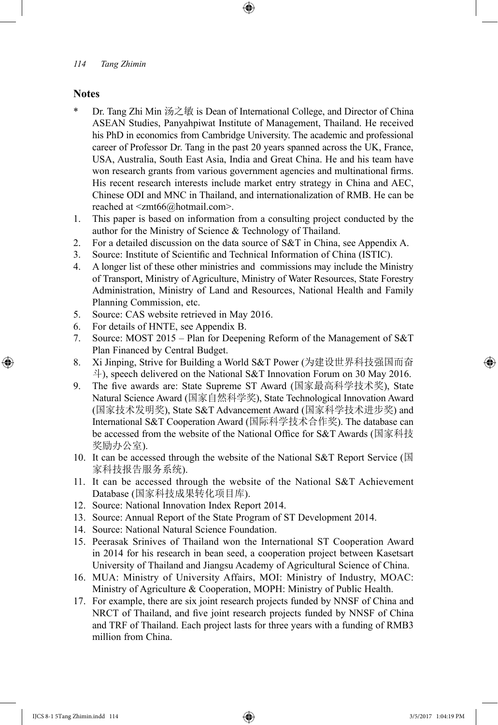#### **Notes**

⊕

- \* Dr. Tang Zhi Min 汤之敏 is Dean of International College, and Director of China ASEAN Studies, Panyahpiwat Institute of Management, Thailand. He received his PhD in economics from Cambridge University. The academic and professional career of Professor Dr. Tang in the past 20 years spanned across the UK, France, USA, Australia, South East Asia, India and Great China. He and his team have won research grants from various government agencies and multinational firms. His recent research interests include market entry strategy in China and AEC, Chinese ODI and MNC in Thailand, and internationalization of RMB. He can be reached at <zmt66@hotmail.com>.
- 1. This paper is based on information from a consulting project conducted by the author for the Ministry of Science & Technology of Thailand.
- 2. For a detailed discussion on the data source of S&T in China, see Appendix A.
- 3. Source: Institute of Scientific and Technical Information of China (ISTIC).
- 4. A longer list of these other ministries and commissions may include the Ministry of Transport, Ministry of Agriculture, Ministry of Water Resources, State Forestry Administration, Ministry of Land and Resources, National Health and Family Planning Commission, etc.
- 5. Source: CAS website retrieved in May 2016.
- 6. For details of HNTE, see Appendix B.
- 7. Source: MOST 2015 Plan for Deepening Reform of the Management of S&T Plan Financed by Central Budget.
- 8. Xi Jinping, Strive for Building a World S&T Power (为建设世界科技强国而奋 斗), speech delivered on the National S&T Innovation Forum on 30 May 2016.
- 9. The five awards are: State Supreme ST Award (国家最高科学技术奖), State Natural Science Award (国家自然科学奖), State Technological Innovation Award (国家技术发明奖), State S&T Advancement Award (国家科学技术进步奖) and International S&T Cooperation Award (国际科学技术合作奖). The database can be accessed from the website of the National Office for S&T Awards (国家科技 奖励办公室).
- 10. It can be accessed through the website of the National S&T Report Service (国 家科技报告服务系统).
- 11. It can be accessed through the website of the National S&T Achievement Database (国家科技成果转化项目库).
- 12. Source: National Innovation Index Report 2014.
- 13. Source: Annual Report of the State Program of ST Development 2014.
- 14. Source: National Natural Science Foundation.
- 15. Peerasak Srinives of Thailand won the International ST Cooperation Award in 2014 for his research in bean seed, a cooperation project between Kasetsart University of Thailand and Jiangsu Academy of Agricultural Science of China.
- 16. MUA: Ministry of University Affairs, MOI: Ministry of Industry, MOAC: Ministry of Agriculture & Cooperation, MOPH: Ministry of Public Health.
- 17. For example, there are six joint research projects funded by NNSF of China and NRCT of Thailand, and five joint research projects funded by NNSF of China and TRF of Thailand. Each project lasts for three years with a funding of RMB3 million from China.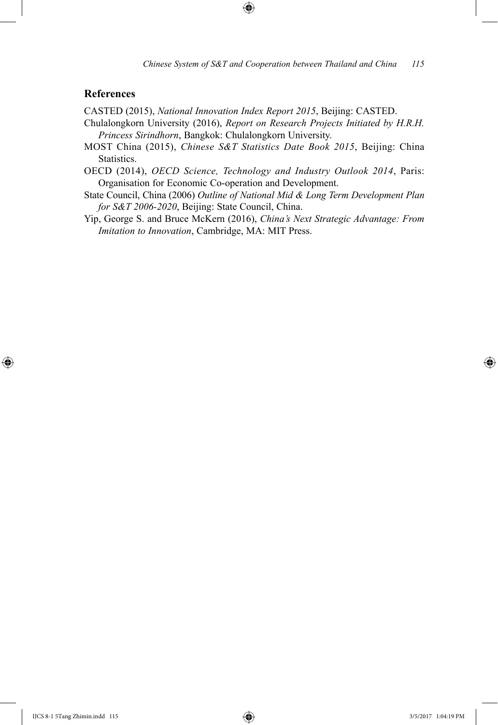# **References**

CASTED (2015), *National Innovation Index Report 2015*, Beijing: CASTED.

 $\bigoplus$ 

- Chulalongkorn University (2016), *Report on Research Projects Initiated by H.R.H. Princess Sirindhorn*, Bangkok: Chulalongkorn University.
- MOST China (2015), *Chinese S&T Statistics Date Book 2015*, Beijing: China Statistics.
- OECD (2014), *OECD Science, Technology and Industry Outlook 2014*, Paris: Organisation for Economic Co-operation and Development.
- State Council, China (2006) *Outline of National Mid & Long Term Development Plan for S&T 2006-2020*, Beijing: State Council, China.
- Yip, George S. and Bruce McKern (2016), *China's Next Strategic Advantage: From Imitation to Innovation*, Cambridge, MA: MIT Press.

⊕